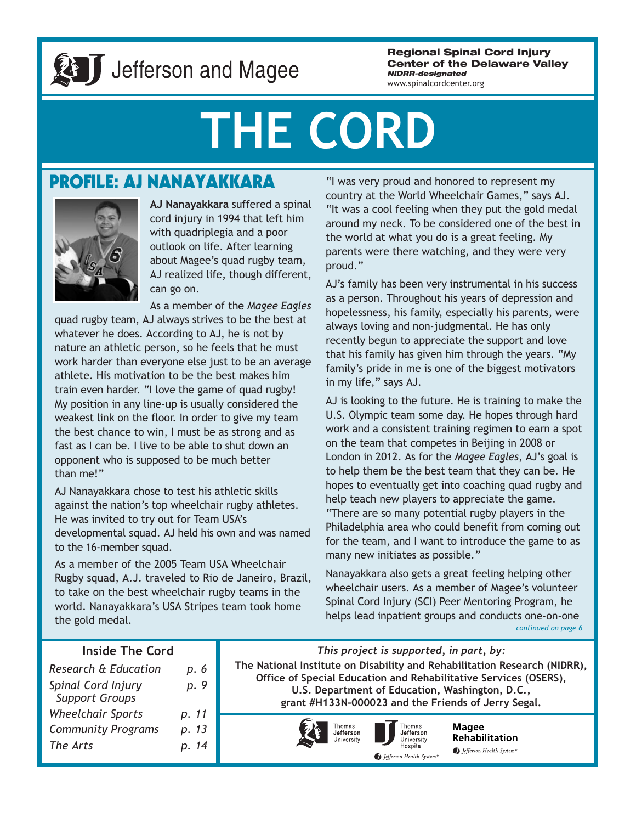

# Jefferson and Magee

**Regional Spinal Cord Injury Center of the Delaware Valley** *NIDRR-designated*

www.spinalcordcenter.org

# **THE CORD**

### **PROFILE: AJ NANAYAKKARA**



**AJ Nanayakkara** suffered a spinal cord injury in 1994 that left him with quadriplegia and a poor outlook on life. After learning about Magee's quad rugby team, AJ realized life, though different, can go on.

As a member of the *Magee Eagles*

quad rugby team, AJ always strives to be the best at whatever he does. According to AJ, he is not by nature an athletic person, so he feels that he must work harder than everyone else just to be an average athlete. His motivation to be the best makes him train even harder. "I love the game of quad rugby! My position in any line-up is usually considered the weakest link on the floor. In order to give my team the best chance to win, I must be as strong and as fast as I can be. I live to be able to shut down an opponent who is supposed to be much better than me!"

AJ Nanayakkara chose to test his athletic skills against the nation's top wheelchair rugby athletes. He was invited to try out for Team USA's developmental squad. AJ held his own and was named to the 16-member squad.

As a member of the 2005 Team USA Wheelchair Rugby squad, A.J. traveled to Rio de Janeiro, Brazil, to take on the best wheelchair rugby teams in the world. Nanayakkara's USA Stripes team took home the gold medal.

"I was very proud and honored to represent my country at the World Wheelchair Games," says AJ. "It was a cool feeling when they put the gold medal around my neck. To be considered one of the best in the world at what you do is a great feeling. My parents were there watching, and they were very proud."

AJ's family has been very instrumental in his success as a person. Throughout his years of depression and hopelessness, his family, especially his parents, were always loving and non-judgmental. He has only recently begun to appreciate the support and love that his family has given him through the years. "My family's pride in me is one of the biggest motivators in my life," says AJ.

AJ is looking to the future. He is training to make the U.S. Olympic team some day. He hopes through hard work and a consistent training regimen to earn a spot on the team that competes in Beijing in 2008 or London in 2012. As for the *Magee Eagles*, AJ's goal is to help them be the best team that they can be. He hopes to eventually get into coaching quad rugby and help teach new players to appreciate the game. "There are so many potential rugby players in the Philadelphia area who could benefit from coming out for the team, and I want to introduce the game to as many new initiates as possible."

Nanayakkara also gets a great feeling helping other wheelchair users. As a member of Magee's volunteer Spinal Cord Injury (SCI) Peer Mentoring Program, he helps lead inpatient groups and conducts one-on-one *continued on page 6*

### **Inside The Cord**

| Research & Education                        | р. 6  |
|---------------------------------------------|-------|
| Spinal Cord Injury<br><b>Support Groups</b> | p. 9  |
| <b>Wheelchair Sports</b>                    | p. 11 |
| <b>Community Programs</b>                   | p. 13 |
| The Arts                                    | p. 14 |

*This project is supported, in part, by:* **The National Institute on Disability and Rehabilitation Research (NIDRR), Office of Special Education and Rehabilitative Services (OSERS), U.S. Department of Education, Washington, D.C., grant #H133N-000023 and the Friends of Jerry Segal.**





**Magee Rehabilitation** Jefferson Health System®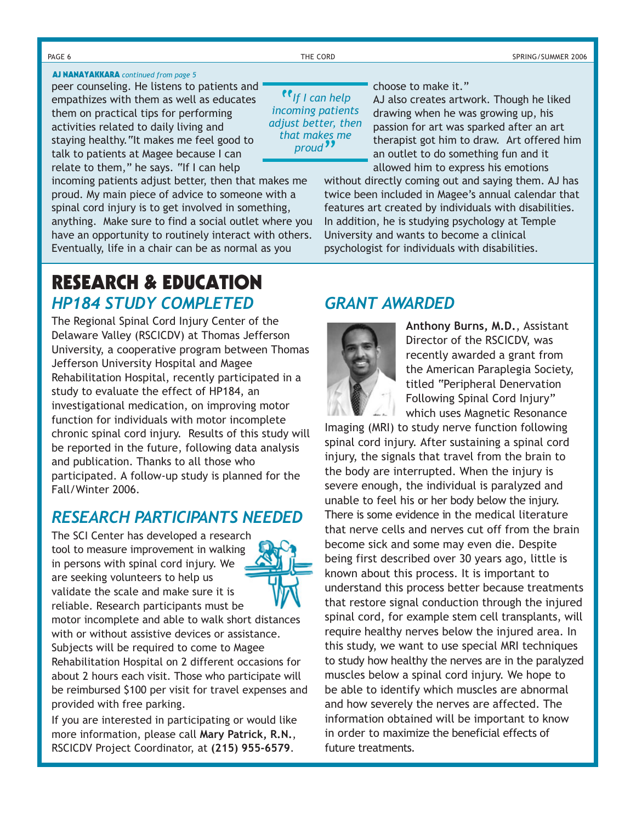### **AJ NANAYAKKARA** *continued from page 5*

peer counseling. He listens to patients and empathizes with them as well as educates them on practical tips for performing activities related to daily living and staying healthy."It makes me feel good to talk to patients at Magee because I can relate to them," he says. "If I can help

incoming patients adjust better, then that makes me proud. My main piece of advice to someone with a spinal cord injury is to get involved in something, anything. Make sure to find a social outlet where you have an opportunity to routinely interact with others. Eventually, life in a chair can be as normal as you

### *HP184 STUDY COMPLETED* **RESEARCH & EDUCATION**

The Regional Spinal Cord Injury Center of the Delaware Valley (RSCICDV) at Thomas Jefferson University, a cooperative program between Thomas Jefferson University Hospital and Magee Rehabilitation Hospital, recently participated in a study to evaluate the effect of HP184, an investigational medication, on improving motor function for individuals with motor incomplete chronic spinal cord injury. Results of this study will be reported in the future, following data analysis and publication. Thanks to all those who participated. A follow-up study is planned for the Fall/Winter 2006.

### *RESEARCH PARTICIPANTS NEEDED*

The SCI Center has developed a research tool to measure improvement in walking in persons with spinal cord injury. We are seeking volunteers to help us validate the scale and make sure it is reliable. Research participants must be



motor incomplete and able to walk short distances with or without assistive devices or assistance. Subjects will be required to come to Magee Rehabilitation Hospital on 2 different occasions for about 2 hours each visit. Those who participate will be reimbursed \$100 per visit for travel expenses and provided with free parking.

If you are interested in participating or would like more information, please call **Mary Patrick, R.N.**, RSCICDV Project Coordinator, at **(215) 955-6579**.

"*If I can help incoming patients adjust better, then that makes me proud*"

### choose to make it."

AJ also creates artwork. Though he liked drawing when he was growing up, his passion for art was sparked after an art therapist got him to draw. Art offered him an outlet to do something fun and it allowed him to express his emotions

without directly coming out and saying them. AJ has twice been included in Magee's annual calendar that features art created by individuals with disabilities. In addition, he is studying psychology at Temple University and wants to become a clinical psychologist for individuals with disabilities.

### *GRANT AWARDED*



**Anthony Burns, M.D.**, Assistant Director of the RSCICDV, was recently awarded a grant from the American Paraplegia Society, titled "Peripheral Denervation Following Spinal Cord Injury" which uses Magnetic Resonance

Imaging (MRI) to study nerve function following spinal cord injury. After sustaining a spinal cord injury, the signals that travel from the brain to the body are interrupted. When the injury is severe enough, the individual is paralyzed and unable to feel his or her body below the injury. There is some evidence in the medical literature that nerve cells and nerves cut off from the brain become sick and some may even die. Despite being first described over 30 years ago, little is known about this process. It is important to understand this process better because treatments that restore signal conduction through the injured spinal cord, for example stem cell transplants, will require healthy nerves below the injured area. In this study, we want to use special MRI techniques to study how healthy the nerves are in the paralyzed muscles below a spinal cord injury. We hope to be able to identify which muscles are abnormal and how severely the nerves are affected. The information obtained will be important to know in order to maximize the beneficial effects of future treatments.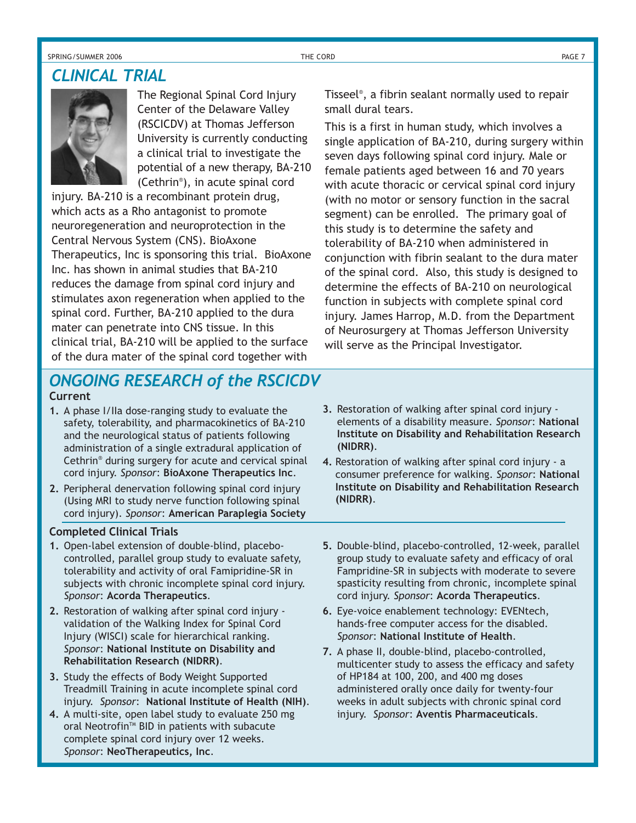SPRING/SUMMER 2006 THE CORD PAGE 7

### *CLINICAL TRIAL*

The Regional Spinal Cord Injury Center of the Delaware Valley (RSCICDV) at Thomas Jefferson University is currently conducting a clinical trial to investigate the potential of a new therapy, BA-210 (Cethrin® ), in acute spinal cord

injury. BA-210 is a recombinant protein drug, which acts as a Rho antagonist to promote neuroregeneration and neuroprotection in the Central Nervous System (CNS). BioAxone Therapeutics, Inc is sponsoring this trial. BioAxone Inc. has shown in animal studies that BA-210 reduces the damage from spinal cord injury and stimulates axon regeneration when applied to the spinal cord. Further, BA-210 applied to the dura mater can penetrate into CNS tissue. In this clinical trial, BA-210 will be applied to the surface of the dura mater of the spinal cord together with

Tisseel® , a fibrin sealant normally used to repair small dural tears.

This is a first in human study, which involves a single application of BA-210, during surgery within seven days following spinal cord injury. Male or female patients aged between 16 and 70 years with acute thoracic or cervical spinal cord injury (with no motor or sensory function in the sacral segment) can be enrolled. The primary goal of this study is to determine the safety and tolerability of BA-210 when administered in conjunction with fibrin sealant to the dura mater of the spinal cord. Also, this study is designed to determine the effects of BA-210 on neurological function in subjects with complete spinal cord injury. James Harrop, M.D. from the Department of Neurosurgery at Thomas Jefferson University will serve as the Principal Investigator.

### **Current** *ONGOING RESEARCH of the RSCICDV*

- **1.** A phase I/IIa dose-ranging study to evaluate the safety, tolerability, and pharmacokinetics of BA-210 and the neurological status of patients following administration of a single extradural application of Cethrin® during surgery for acute and cervical spinal cord injury. *Sponsor*: **BioAxone Therapeutics Inc**.
- **2.** Peripheral denervation following spinal cord injury (Using MRI to study nerve function following spinal cord injury). *Sponsor*: **American Paraplegia Society**

### **Completed Clinical Trials**

- **1.** Open-label extension of double-blind, placebocontrolled, parallel group study to evaluate safety, tolerability and activity of oral Famipridine-SR in subjects with chronic incomplete spinal cord injury. *Sponsor*: **Acorda Therapeutics**.
- **2.** Restoration of walking after spinal cord injury validation of the Walking Index for Spinal Cord Injury (WISCI) scale for hierarchical ranking. *Sponsor*: **National Institute on Disability and Rehabilitation Research (NIDRR)**.
- **3.** Study the effects of Body Weight Supported Treadmill Training in acute incomplete spinal cord injury. *Sponsor*: **National Institute of Health (NIH)**.
- **4.** A multi-site, open label study to evaluate 250 mg oral Neotrofin™ BID in patients with subacute complete spinal cord injury over 12 weeks. *Sponsor*: **NeoTherapeutics, Inc**.
- **3.** Restoration of walking after spinal cord injury elements of a disability measure. *Sponsor*: **National Institute on Disability and Rehabilitation Research (NIDRR)**.
- **4.** Restoration of walking after spinal cord injury a consumer preference for walking. *Sponsor*: **National Institute on Disability and Rehabilitation Research (NIDRR)**.
- **5.** Double-blind, placebo-controlled, 12-week, parallel group study to evaluate safety and efficacy of oral Fampridine-SR in subjects with moderate to severe spasticity resulting from chronic, incomplete spinal cord injury. *Sponsor*: **Acorda Therapeutics**.
- **6.** Eye-voice enablement technology: EVENtech, hands-free computer access for the disabled. *Sponsor*: **National Institute of Health**.
- **7.** A phase II, double-blind, placebo-controlled, multicenter study to assess the efficacy and safety of HP184 at 100, 200, and 400 mg doses administered orally once daily for twenty-four weeks in adult subjects with chronic spinal cord injury. *Sponsor*: **Aventis Pharmaceuticals**.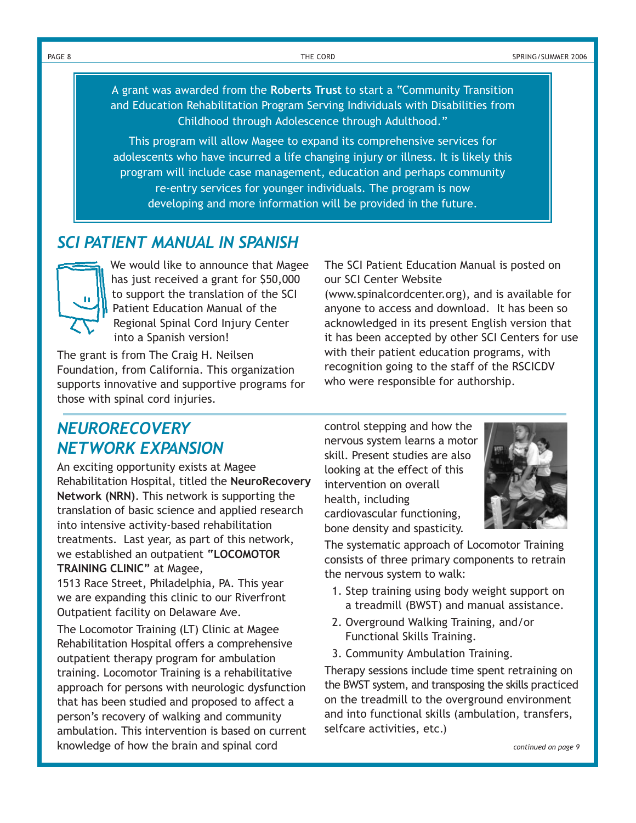PAGE 8 THE CORD SPRING/SUMMER 2006

A grant was awarded from the **Roberts Trust** to start a "Community Transition and Education Rehabilitation Program Serving Individuals with Disabilities from Childhood through Adolescence through Adulthood."

This program will allow Magee to expand its comprehensive services for adolescents who have incurred a life changing injury or illness. It is likely this program will include case management, education and perhaps community re-entry services for younger individuals. The program is now developing and more information will be provided in the future.

### *SCI PATIENT MANUAL IN SPANISH*



We would like to announce that Magee has just received a grant for \$50,000 to support the translation of the SCI Patient Education Manual of the Regional Spinal Cord Injury Center into a Spanish version!

The grant is from The Craig H. Neilsen Foundation, from California. This organization supports innovative and supportive programs for those with spinal cord injuries.

The SCI Patient Education Manual is posted on our SCI Center Website

(www.spinalcordcenter.org), and is available for anyone to access and download. It has been so acknowledged in its present English version that it has been accepted by other SCI Centers for use with their patient education programs, with recognition going to the staff of the RSCICDV who were responsible for authorship.

### *NEURORECOVERY NETWORK EXPANSION*

An exciting opportunity exists at Magee Rehabilitation Hospital, titled the **NeuroRecovery Network (NRN)**. This network is supporting the translation of basic science and applied research into intensive activity-based rehabilitation treatments. Last year, as part of this network, we established an outpatient **"LOCOMOTOR TRAINING CLINIC"** at Magee,

1513 Race Street, Philadelphia, PA. This year we are expanding this clinic to our Riverfront Outpatient facility on Delaware Ave.

The Locomotor Training (LT) Clinic at Magee Rehabilitation Hospital offers a comprehensive outpatient therapy program for ambulation training. Locomotor Training is a rehabilitative approach for persons with neurologic dysfunction that has been studied and proposed to affect a person's recovery of walking and community ambulation. This intervention is based on current knowledge of how the brain and spinal cord

control stepping and how the nervous system learns a motor skill. Present studies are also looking at the effect of this intervention on overall health, including cardiovascular functioning, bone density and spasticity.



The systematic approach of Locomotor Training consists of three primary components to retrain the nervous system to walk:

- 1. Step training using body weight support on a treadmill (BWST) and manual assistance.
- 2. Overground Walking Training, and/or Functional Skills Training.
- 3. Community Ambulation Training.

Therapy sessions include time spent retraining on the BWST system, and transposing the skills practiced on the treadmill to the overground environment and into functional skills (ambulation, transfers, selfcare activities, etc.)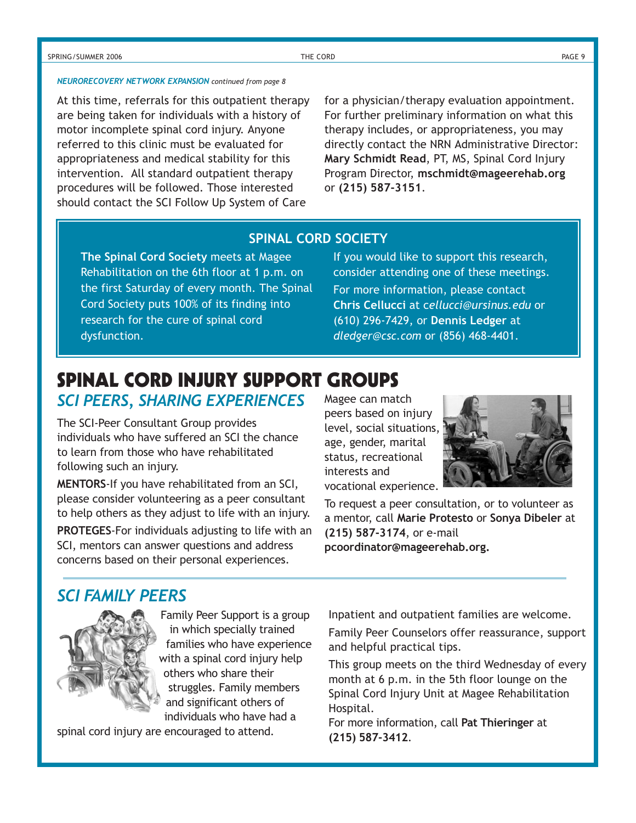### SPRING/SUMMER 2006 THE CORD PAGE 9

### *NEURORECOVERY NETWORK EXPANSION continued from page 8*

At this time, referrals for this outpatient therapy are being taken for individuals with a history of motor incomplete spinal cord injury. Anyone referred to this clinic must be evaluated for appropriateness and medical stability for this intervention. All standard outpatient therapy procedures will be followed. Those interested should contact the SCI Follow Up System of Care

for a physician/therapy evaluation appointment. For further preliminary information on what this therapy includes, or appropriateness, you may directly contact the NRN Administrative Director: **Mary Schmidt Read**, PT, MS, Spinal Cord Injury Program Director, **mschmidt@mageerehab.org** or **(215) 587-3151**.

### **SPINAL CORD SOCIETY**

**The Spinal Cord Society** meets at Magee Rehabilitation on the 6th floor at 1 p.m. on the first Saturday of every month. The Spinal Cord Society puts 100% of its finding into research for the cure of spinal cord dysfunction.

If you would like to support this research, consider attending one of these meetings. For more information, please contact **Chris Cellucci** at c*ellucci@ursinus.edu* or (610) 296-7429, or **Dennis Ledger** at *dledger@csc.com* or (856) 468-4401.

### *SCI PEERS, SHARING EXPERIENCES* **SPINAL CORD INJURY SUPPORT GROUPS**

The SCI-Peer Consultant Group provides individuals who have suffered an SCI the chance to learn from those who have rehabilitated

following such an injury.

**MENTORS**-If you have rehabilitated from an SCI, please consider volunteering as a peer consultant to help others as they adjust to life with an injury. **PROTEGES**-For individuals adjusting to life with an SCI, mentors can answer questions and address concerns based on their personal experiences.

Magee can match peers based on injury level, social situations, age, gender, marital status, recreational interests and vocational experience.



To request a peer consultation, or to volunteer as a mentor, call **Marie Protesto** or **Sonya Dibeler** at **(215) 587-3174**, or e-mail **pcoordinator@mageerehab.org.**

### *SCI FAMILY PEERS*



Family Peer Support is a group in which specially trained families who have experience with a spinal cord injury help others who share their struggles. Family members and significant others of individuals who have had a

spinal cord injury are encouraged to attend.

Inpatient and outpatient families are welcome.

Family Peer Counselors offer reassurance, support and helpful practical tips.

This group meets on the third Wednesday of every month at 6 p.m. in the 5th floor lounge on the Spinal Cord Injury Unit at Magee Rehabilitation Hospital.

For more information, call **Pat Thieringer** at **(215) 587-3412**.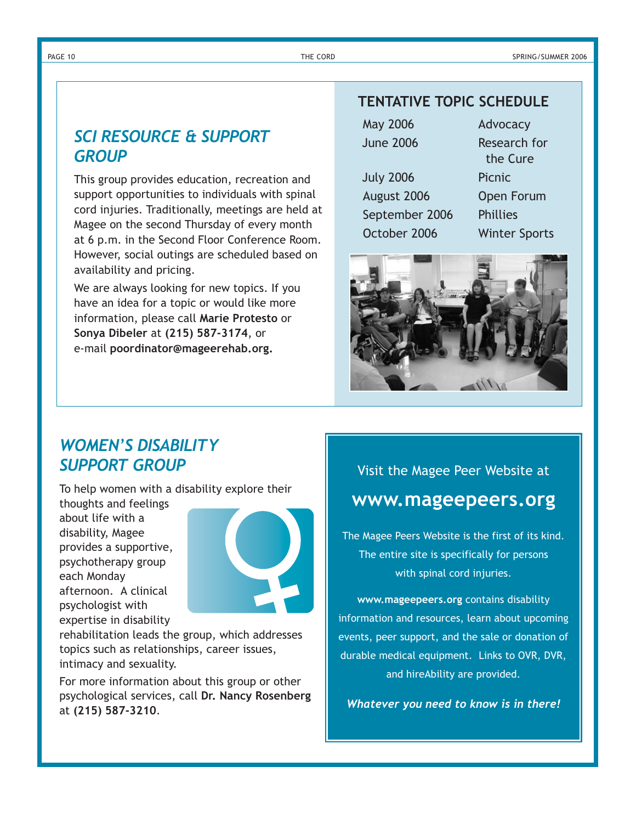### PAGE 10 THE CORD SPRING/SUMMER 2006

### *SCI RESOURCE & SUPPORT GROUP*

This group provides education, recreation and support opportunities to individuals with spinal cord injuries. Traditionally, meetings are held at Magee on the second Thursday of every month at 6 p.m. in the Second Floor Conference Room. However, social outings are scheduled based on availability and pricing.

We are always looking for new topics. If you have an idea for a topic or would like more information, please call **Marie Protesto** or **Sonya Dibeler** at **(215) 587-3174**, or e-mail **poordinator@mageerehab.org.**

### **TENTATIVE TOPIC SCHEDULE**

| \ay 2006 |  |
|----------|--|
| une 2006 |  |
| uly 2006 |  |

August 2006 Open Forum September 2006 Phillies October 2006 Winter Sports

Research for the Cure Picnic

Advocacy



### *WOMEN'S DISABILITY SUPPORT GROUP*

To help women with a disability explore their

thoughts and feelings about life with a disability, Magee provides a supportive, psychotherapy group each Monday afternoon. A clinical psychologist with expertise in disability



rehabilitation leads the group, which addresses topics such as relationships, career issues, intimacy and sexuality.

For more information about this group or other psychological services, call **Dr. Nancy Rosenberg** at **(215) 587-3210**.

### Visit the Magee Peer Website at **www.mageepeers.org**

The Magee Peers Website is the first of its kind. The entire site is specifically for persons with spinal cord injuries.

**www.mageepeers.org** contains disability information and resources, learn about upcoming events, peer support, and the sale or donation of durable medical equipment. Links to OVR, DVR, and hireAbility are provided.

*Whatever you need to know is in there!*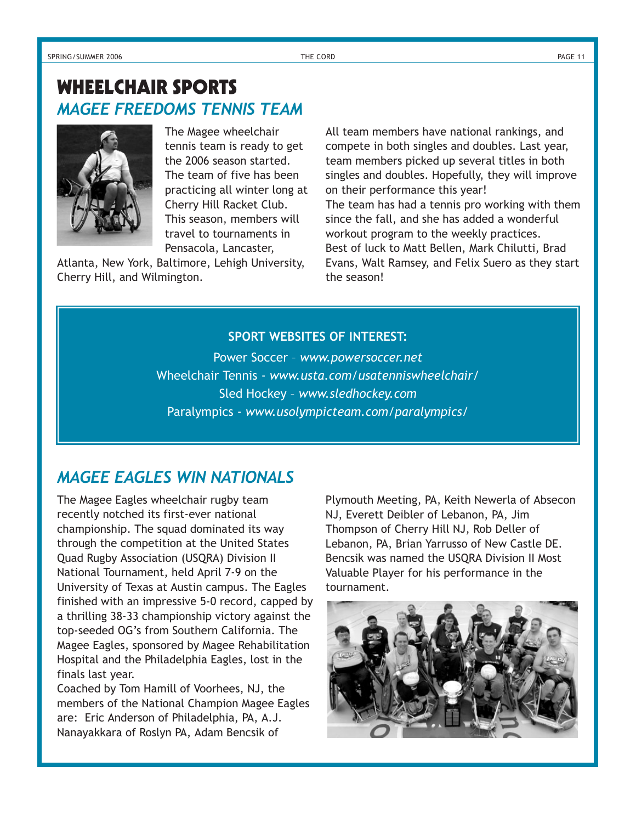### *MAGEE FREEDOMS TENNIS TEAM* **WHEELCHAIR SPORTS**



The Magee wheelchair tennis team is ready to get the 2006 season started. The team of five has been practicing all winter long at Cherry Hill Racket Club. This season, members will travel to tournaments in Pensacola, Lancaster,

Atlanta, New York, Baltimore, Lehigh University, Cherry Hill, and Wilmington.

All team members have national rankings, and compete in both singles and doubles. Last year, team members picked up several titles in both singles and doubles. Hopefully, they will improve on their performance this year! The team has had a tennis pro working with them since the fall, and she has added a wonderful workout program to the weekly practices. Best of luck to Matt Bellen, Mark Chilutti, Brad Evans, Walt Ramsey, and Felix Suero as they start the season!

### **SPORT WEBSITES OF INTEREST:**

Power Soccer – *www.powersoccer.net* Wheelchair Tennis - *www.usta.com/usatenniswheelchair/* Sled Hockey – *www.sledhockey.com* Paralympics - *www.usolympicteam.com/paralympics/*

### *MAGEE EAGLES WIN NATIONALS*

The Magee Eagles wheelchair rugby team recently notched its first-ever national championship. The squad dominated its way through the competition at the United States Quad Rugby Association (USQRA) Division II National Tournament, held April 7-9 on the University of Texas at Austin campus. The Eagles finished with an impressive 5-0 record, capped by a thrilling 38-33 championship victory against the top-seeded OG's from Southern California. The Magee Eagles, sponsored by Magee Rehabilitation Hospital and the Philadelphia Eagles, lost in the finals last year.

Coached by Tom Hamill of Voorhees, NJ, the members of the National Champion Magee Eagles are: Eric Anderson of Philadelphia, PA, A.J. Nanayakkara of Roslyn PA, Adam Bencsik of

Plymouth Meeting, PA, Keith Newerla of Absecon NJ, Everett Deibler of Lebanon, PA, Jim Thompson of Cherry Hill NJ, Rob Deller of Lebanon, PA, Brian Yarrusso of New Castle DE. Bencsik was named the USQRA Division II Most Valuable Player for his performance in the tournament.

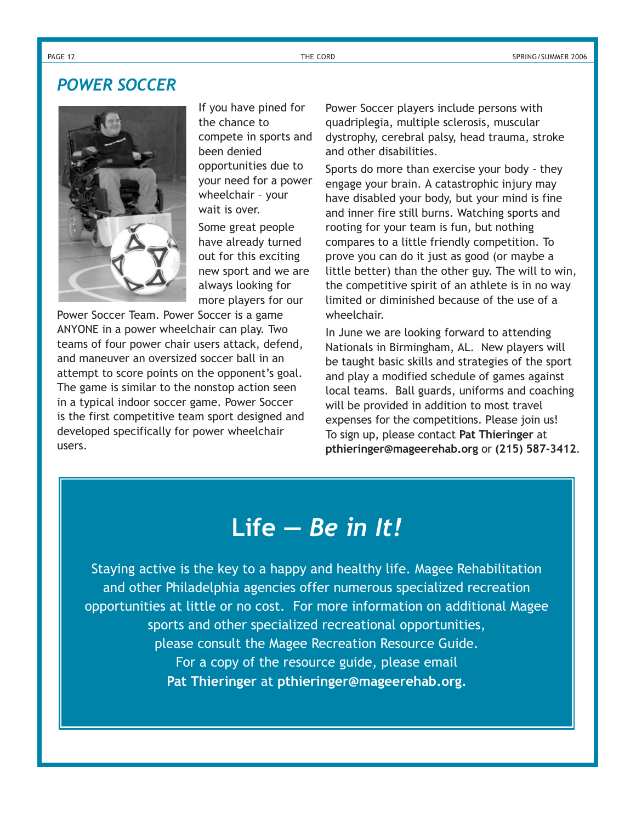### *POWER SOCCER*



If you have pined for the chance to compete in sports and been denied opportunities due to your need for a power wheelchair – your wait is over.

Some great people have already turned out for this exciting new sport and we are always looking for more players for our

Power Soccer Team. Power Soccer is a game ANYONE in a power wheelchair can play. Two teams of four power chair users attack, defend, and maneuver an oversized soccer ball in an attempt to score points on the opponent's goal. The game is similar to the nonstop action seen in a typical indoor soccer game. Power Soccer is the first competitive team sport designed and developed specifically for power wheelchair users.

Power Soccer players include persons with quadriplegia, multiple sclerosis, muscular dystrophy, cerebral palsy, head trauma, stroke and other disabilities.

Sports do more than exercise your body - they engage your brain. A catastrophic injury may have disabled your body, but your mind is fine and inner fire still burns. Watching sports and rooting for your team is fun, but nothing compares to a little friendly competition. To prove you can do it just as good (or maybe a little better) than the other guy. The will to win, the competitive spirit of an athlete is in no way limited or diminished because of the use of a wheelchair.

In June we are looking forward to attending Nationals in Birmingham, AL. New players will be taught basic skills and strategies of the sport and play a modified schedule of games against local teams. Ball guards, uniforms and coaching will be provided in addition to most travel expenses for the competitions. Please join us! To sign up, please contact **Pat Thieringer** at **pthieringer@mageerehab.org** or **(215) 587-3412**.

## **Life —** *Be in It!*

Staying active is the key to a happy and healthy life. Magee Rehabilitation and other Philadelphia agencies offer numerous specialized recreation opportunities at little or no cost. For more information on additional Magee sports and other specialized recreational opportunities, please consult the Magee Recreation Resource Guide. For a copy of the resource guide, please email **Pat Thieringer** at **pthieringer@mageerehab.org.**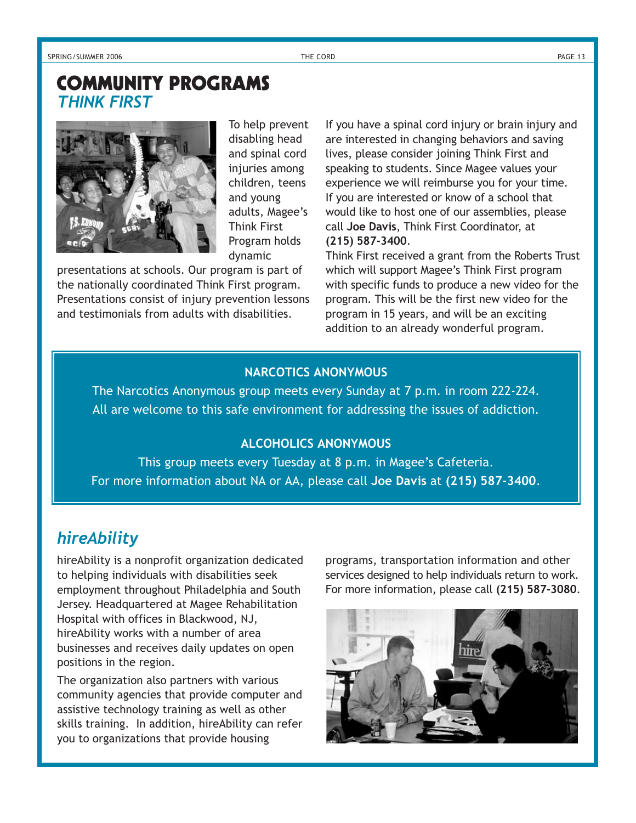### *THINK FIRST* **COMMUNITY PROGRAMS**



To help prevent disabling head and spinal cord injuries among children, teens and young adults, Magee's Think First Program holds dynamic

presentations at schools. Our program is part of the nationally coordinated Think First program. Presentations consist of injury prevention lessons and testimonials from adults with disabilities.

If you have a spinal cord injury or brain injury and are interested in changing behaviors and saving lives, please consider joining Think First and speaking to students. Since Magee values your experience we will reimburse you for your time. If you are interested or know of a school that would like to host one of our assemblies, please call **Joe Davis**, Think First Coordinator, at **(215) 587-3400**.

Think First received a grant from the Roberts Trust which will support Magee's Think First program with specific funds to produce a new video for the program. This will be the first new video for the program in 15 years, and will be an exciting addition to an already wonderful program.

### **NARCOTICS ANONYMOUS**

The Narcotics Anonymous group meets every Sunday at 7 p.m. in room 222-224. All are welcome to this safe environment for addressing the issues of addiction.

### **ALCOHOLICS ANONYMOUS**

This group meets every Tuesday at 8 p.m. in Magee's Cafeteria. For more information about NA or AA, please call **Joe Davis** at **(215) 587-3400**.

### *hireAbility*

hireAbility is a nonprofit organization dedicated to helping individuals with disabilities seek employment throughout Philadelphia and South Jersey. Headquartered at Magee Rehabilitation Hospital with offices in Blackwood, NJ, hireAbility works with a number of area businesses and receives daily updates on open positions in the region.

The organization also partners with various community agencies that provide computer and assistive technology training as well as other skills training. In addition, hireAbility can refer you to organizations that provide housing

programs, transportation information and other services designed to help individuals return to work. For more information, please call **(215) 587-3080**.

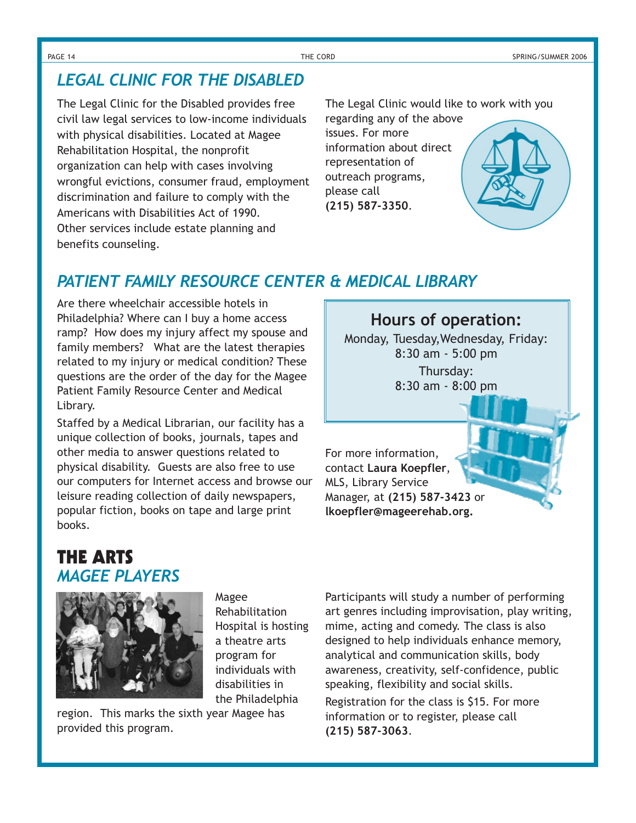### *LEGAL CLINIC FOR THE DISABLED*

The Legal Clinic for the Disabled provides free civil law legal services to low-income individuals with physical disabilities. Located at Magee Rehabilitation Hospital, the nonprofit organization can help with cases involving wrongful evictions, consumer fraud, employment discrimination and failure to comply with the Americans with Disabilities Act of 1990. Other services include estate planning and benefits counseling.

The Legal Clinic would like to work with you regarding any of the above

**Hours of operation:** Monday, Tuesday,Wednesday, Friday: 8:30 am - 5:00 pm Thursday: 8:30 am - 8:00 pm

issues. For more information about direct representation of outreach programs, please call **(215) 587-3350**.

For more information, contact **Laura Koepfler**, MLS, Library Service

Manager, at **(215) 587-3423** or **lkoepfler@mageerehab.org.**



### *PATIENT FAMILY RESOURCE CENTER & MEDICAL LIBRARY*

Are there wheelchair accessible hotels in Philadelphia? Where can I buy a home access ramp? How does my injury affect my spouse and family members? What are the latest therapies related to my injury or medical condition? These questions are the order of the day for the Magee Patient Family Resource Center and Medical Library.

Staffed by a Medical Librarian, our facility has a unique collection of books, journals, tapes and other media to answer questions related to physical disability. Guests are also free to use our computers for Internet access and browse our leisure reading collection of daily newspapers, popular fiction, books on tape and large print books.

### **THE ARTS** *MAGEE PLAYERS*



Magee Rehabilitation Hospital is hosting a theatre arts program for individuals with disabilities in the Philadelphia

region. This marks the sixth year Magee has provided this program.

Participants will study a number of performing art genres including improvisation, play writing, mime, acting and comedy. The class is also designed to help individuals enhance memory, analytical and communication skills, body awareness, creativity, self-confidence, public speaking, flexibility and social skills.

Registration for the class is \$15. For more information or to register, please call **(215) 587-3063**.